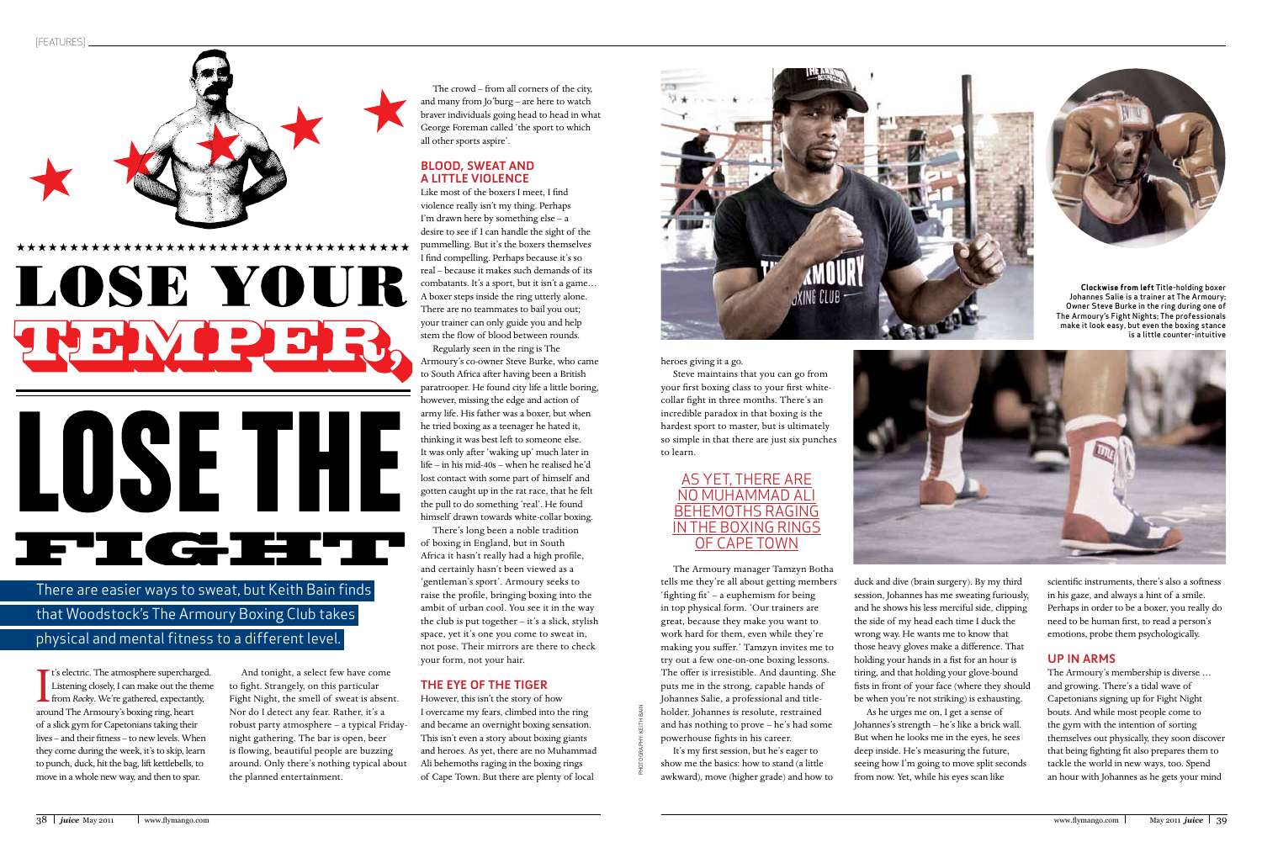PHOTOGRAPHY: KEITH BAIN



**Clockwise from left** Title-holding boxer Johannes Salie is a trainer at The Armoury; Owner Steve Burke in the ring during one of The Armoury's Fight Nights; The professionals make it look easy, but even the boxing stance is a little counter-intuitive

The Armoury manager Tamzyn Botha tells me they're all about getting members 'fighting  $\text{fit}'$  – a euphemism for being in top physical form. 'Our trainers are great, because they make you want to work hard for them, even while they're making you suffer.' Tamzyn invites me to try out a few one-on-one boxing lessons. The offer is irresistible. And daunting. She puts me in the strong, capable hands of Johannes Salie, a professional and titleholder. Johannes is resolute, restrained and has nothing to prove – he's had some powerhouse fights in his career.

heroes giving it a go.

Steve maintains that you can go from your first boxing class to your first whitecollar fight in three months. There's an incredible paradox in that boxing is the hardest sport to master, but is ultimately so simple in that there are just six punches to learn.

It's my first session, but he's eager to show me the basics: how to stand (a little awkward), move (higher grade) and how to scientific instruments, there's also a softness in his gaze, and always a hint of a smile. Perhaps in order to be a boxer, you really do need to be human first, to read a person's emotions, probe them psychologically.

I<br>arou **T** t's electric. The atmosphere supercharged. Listening closely, I can make out the theme from *Rocky*. We're gathered, expectantly, around The Armoury's boxing ring, heart of a slick gym for Capetonians taking their lives – and their fitness – to new levels. When they come during the week, it's to skip, learn to punch, duck, hit the bag, lift kettlebells, to move in a whole new way, and then to spar.

duck and dive (brain surgery). By my third session, Johannes has me sweating furiously, and he shows his less merciful side, clipping the side of my head each time I duck the wrong way. He wants me to know that those heavy gloves make a difference. That holding your hands in a fist for an hour is tiring, and that holding your glove-bound fists in front of your face (where they should be when you're not striking) is exhausting. As he urges me on, I get a sense of Johannes's strength – he's like a brick wall. But when he looks me in the eyes, he sees deep inside. He's measuring the future, seeing how I'm going to move split seconds from now. Yet, while his eyes scan like



### **UP IN ARMS**

The Armoury's membership is diverse … and growing. There's a tidal wave of Capetonians signing up for Fight Night bouts. And while most people come to the gym with the intention of sorting themselves out physically, they soon discover that being fighting fit also prepares them to tackle the world in new ways, too. Spend an hour with Johannes as he gets your mind

And tonight, a select few have come to fight. Strangely, on this particular Fight Night, the smell of sweat is absent. Nor do I detect any fear. Rather, it's a robust party atmosphere – a typical Fridaynight gathering. The bar is open, beer is flowing, beautiful people are buzzing around. Only there's nothing typical about the planned entertainment.

The crowd – from all corners of the city, and many from Jo'burg – are here to watch braver individuals going head to head in what George Foreman called 'the sport to which all other sports aspire'.

### **BLOOD, SWEAT AND A LITTLE VIOLENCE**

Like most of the boxers I meet, I find violence really isn't my thing. Perhaps I'm drawn here by something else – a desire to see if I can handle the sight of the pummelling. But it's the boxers themselves I find compelling. Perhaps because it's so real – because it makes such demands of its combatants. It's a sport, but it isn't a game… A boxer steps inside the ring utterly alone. There are no teammates to bail you out; your trainer can only guide you and help stem the flow of blood between rounds.

Regularly seen in the ring is The Armoury's co-owner Steve Burke, who came to South Africa after having been a British paratrooper. He found city life a little boring, however, missing the edge and action of army life. His father was a boxer, but when he tried boxing as a teenager he hated it, thinking it was best left to someone else. It was only after 'waking up' much later in life – in his mid-40s – when he realised he'd lost contact with some part of himself and gotten caught up in the rat race, that he felt the pull to do something 'real'. He found himself drawn towards white-collar boxing.

There's long been a noble tradition of boxing in England, but in South Africa it hasn't really had a high profile, and certainly hasn't been viewed as a 'gentleman's sport'. Armoury seeks to raise the profile, bringing boxing into the ambit of urban cool. You see it in the way the club is put together – it's a slick, stylish space, yet it's one you come to sweat in, not pose. Their mirrors are there to check your form, not your hair.

## **THE EYE OF THE TIGER**

However, this isn't the story of how I overcame my fears, climbed into the ring and became an overnight boxing sensation. This isn't even a story about boxing giants and heroes. As yet, there are no Muhammad Ali behemoths raging in the boxing rings of Cape Town. But there are plenty of local



# AS YET, THERE ARE NO MUHAMMAD ALI BEHEMOTHS RAGING IN THE BOXING RINGS OF CAPE TOWN

There are easier ways to sweat, but Keith Bain finds that Woodstock's The Armoury Boxing Club takes physical and mental fitness to a different level.



# LOSE THE **JETIC GRIELTIN**